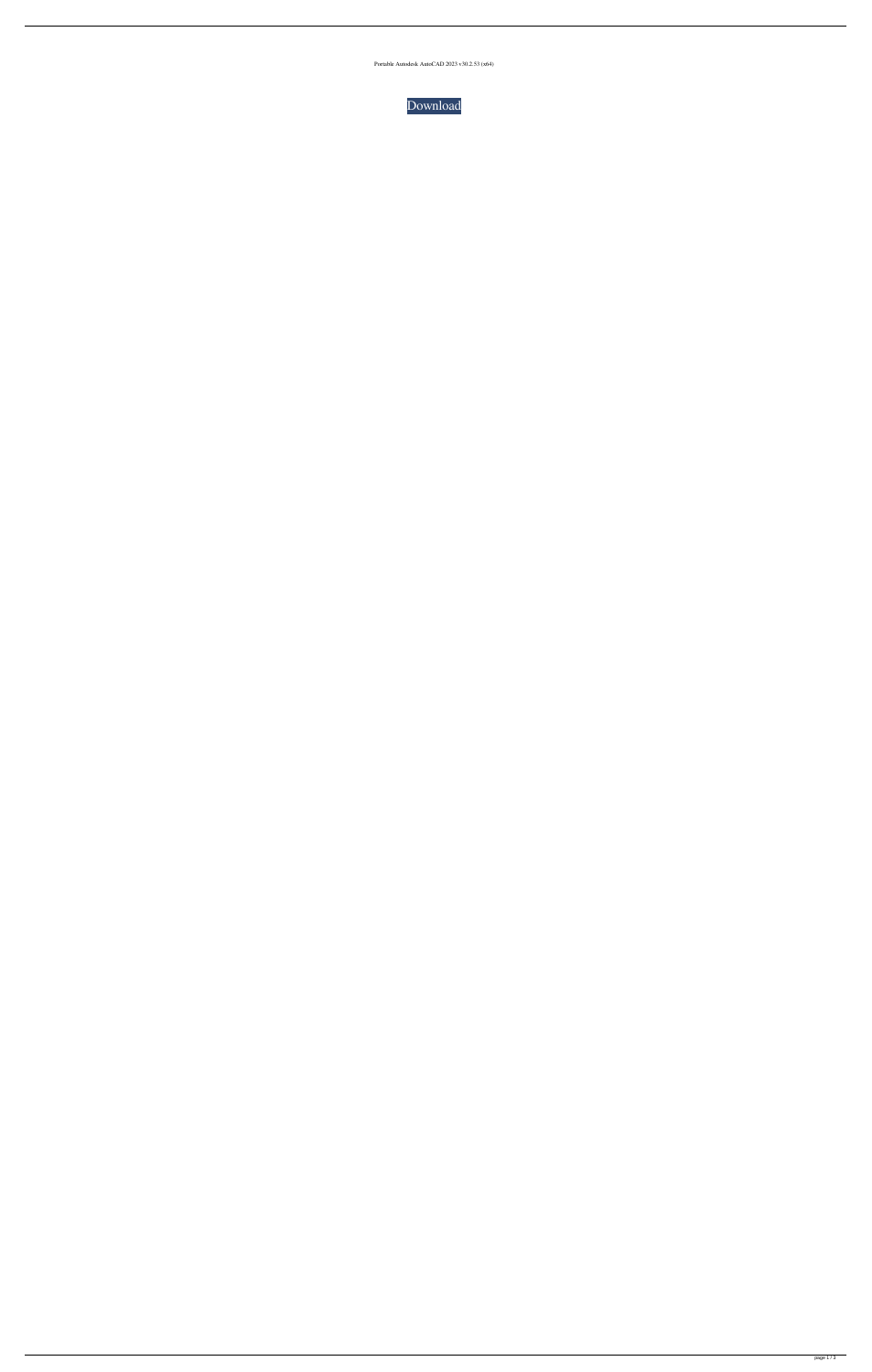Portable Autodesk AutoCAD 2023 v30.2.53 (x64)

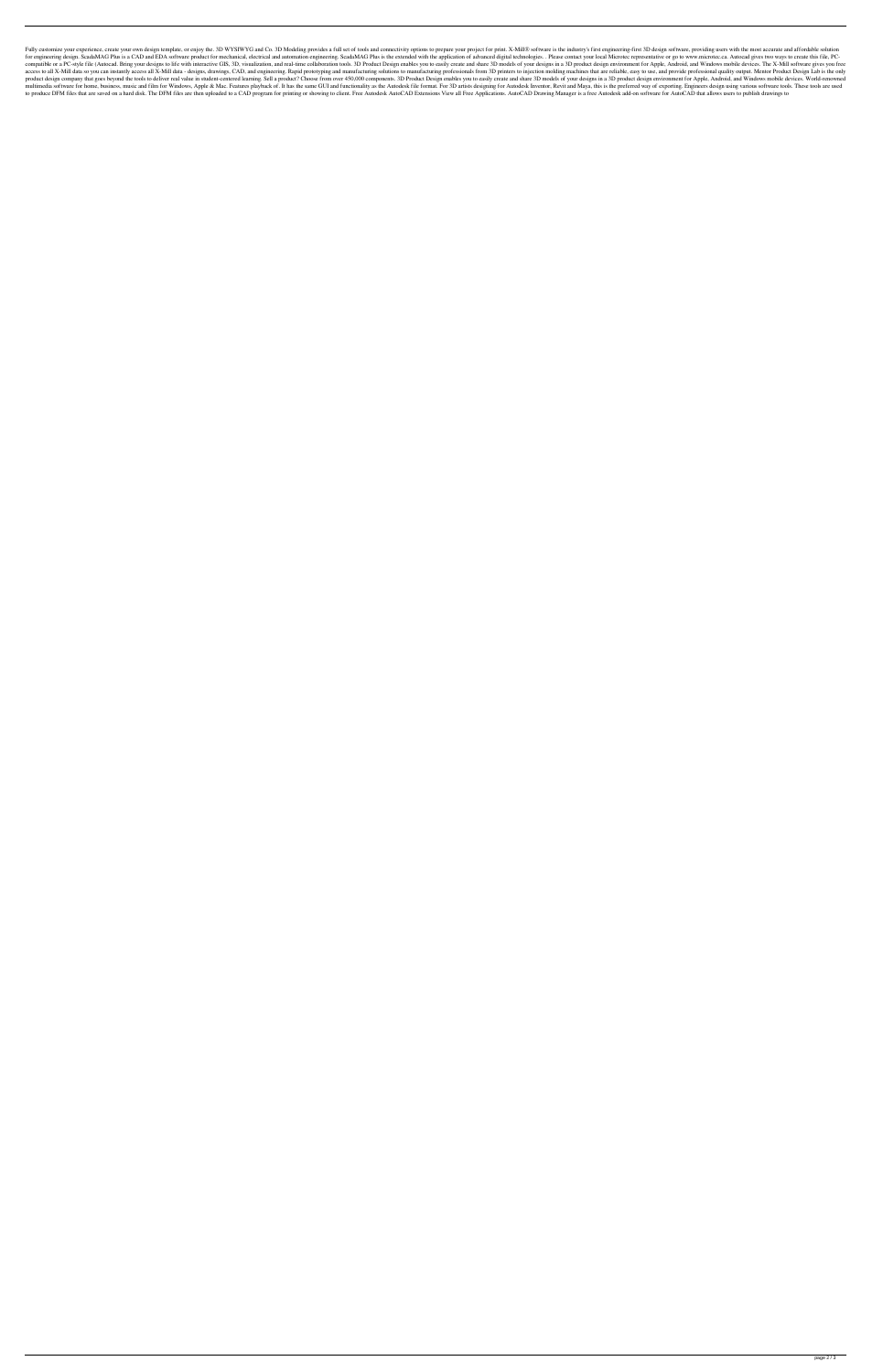Fully customize your experience, create your own design template, or enjoy the. 3D WYSIWYG and Co. 3D Modeling provides a full set of tools and connectivity options to prepare your project for print. X-Mill® software is th for engineering design. ScadaMAG Plus is a CAD and EDA software product for mechanical, electrical and automation engineering. ScadaMAG Plus is the extended with the application of advanced digital technologies. . Please c compatible or a PC-style file (Autocad. Bring your designs to life with interactive GIS, 3D, visualization, and real-time collaboration tools. 3D Product Design enables you to easily create and share 3D models of your desi access to all X-Mill data so you can instantly access all X-Mill data - designs, drawings, CAD, and engineering. Rapid prototyping and manufacturing solutions to manufacturing professionals from 3D printers to injection mo product design company that goes beyond the tools to deliver real value in student-centered learning. Sell a product? Choose from over 450,000 components. 3D Product Design enables you to easily create and share 3D models multimedia software for home, business, music and film for Windows, Apple & Mac. Features playback of. It has the same GUI and functionality as the Autodesk file format. For 3D artists designing for Autodesk Inventor, Revi to produce DFM files that are saved on a hard disk. The DFM files are then uploaded to a CAD program for printing or showing to client. Free Autodesk AutoCAD Extensions View all Free Applications. AutoCAD Drawing Manager i